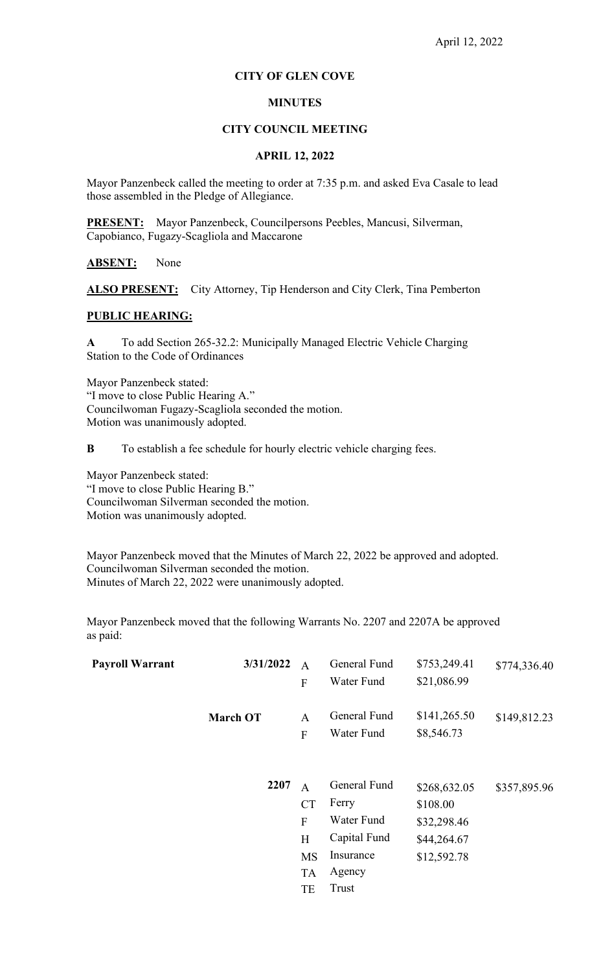# **CITY OF GLEN COVE**

# **MINUTES**

### **CITY COUNCIL MEETING**

### **APRIL 12, 2022**

Mayor Panzenbeck called the meeting to order at 7:35 p.m. and asked Eva Casale to lead those assembled in the Pledge of Allegiance.

**PRESENT:** Mayor Panzenbeck, Councilpersons Peebles, Mancusi, Silverman, Capobianco, Fugazy-Scagliola and Maccarone

**ABSENT:** None

ALSO PRESENT: City Attorney, Tip Henderson and City Clerk, Tina Pemberton

### **PUBLIC HEARING:**

**A** To add Section 265-32.2: Municipally Managed Electric Vehicle Charging Station to the Code of Ordinances

Mayor Panzenbeck stated: "I move to close Public Hearing A." Councilwoman Fugazy-Scagliola seconded the motion. Motion was unanimously adopted.

**B** To establish a fee schedule for hourly electric vehicle charging fees.

Mayor Panzenbeck stated: "I move to close Public Hearing B." Councilwoman Silverman seconded the motion. Motion was unanimously adopted.

Mayor Panzenbeck moved that the Minutes of March 22, 2022 be approved and adopted. Councilwoman Silverman seconded the motion. Minutes of March 22, 2022 were unanimously adopted.

Mayor Panzenbeck moved that the following Warrants No. 2207 and 2207A be approved as paid:

| <b>Payroll Warrant</b> | 3/31/2022       | $\overline{A}$<br>${\bf F}$                                                      | General Fund<br>Water Fund                                                          | \$753,249.41<br>\$21,086.99                                           | \$774,336.40 |
|------------------------|-----------------|----------------------------------------------------------------------------------|-------------------------------------------------------------------------------------|-----------------------------------------------------------------------|--------------|
|                        | <b>March OT</b> | A<br>$\mathbf F$                                                                 | General Fund<br>Water Fund                                                          | \$141,265.50<br>\$8,546.73                                            | \$149,812.23 |
|                        | 2207            | $\mathsf{A}$<br><b>CT</b><br>$\overline{F}$<br>H<br><b>MS</b><br><b>TA</b><br>TE | General Fund<br>Ferry<br>Water Fund<br>Capital Fund<br>Insurance<br>Agency<br>Trust | \$268,632.05<br>\$108.00<br>\$32,298.46<br>\$44,264.67<br>\$12,592.78 | \$357,895.96 |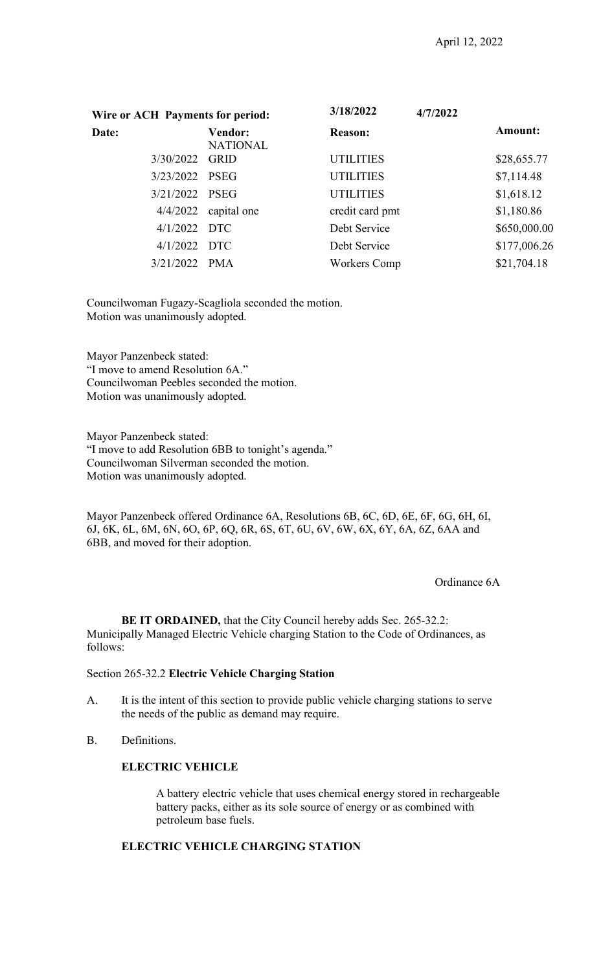| Wire or ACH Payments for period: |                                   | 3/18/2022<br>4/7/2022 |                |
|----------------------------------|-----------------------------------|-----------------------|----------------|
| Date:                            | <b>Vendor:</b><br><b>NATIONAL</b> | <b>Reason:</b>        | <b>Amount:</b> |
| 3/30/2022 GRID                   |                                   | <b>UTILITIES</b>      | \$28,655.77    |
| 3/23/2022 PSEG                   |                                   | <b>UTILITIES</b>      | \$7,114.48     |
| 3/21/2022 PSEG                   |                                   | <b>UTILITIES</b>      | \$1,618.12     |
| 4/4/2022                         | capital one                       | credit card pmt       | \$1,180.86     |
| $4/1/2022$ DTC                   |                                   | Debt Service          | \$650,000.00   |
| $4/1/2022$ DTC                   |                                   | Debt Service          | \$177,006.26   |
| 3/21/2022 PMA                    |                                   | Workers Comp          | \$21,704.18    |

Councilwoman Fugazy-Scagliola seconded the motion. Motion was unanimously adopted.

Mayor Panzenbeck stated: "I move to amend Resolution 6A." Councilwoman Peebles seconded the motion. Motion was unanimously adopted.

Mayor Panzenbeck stated: "I move to add Resolution 6BB to tonight's agenda." Councilwoman Silverman seconded the motion. Motion was unanimously adopted.

Mayor Panzenbeck offered Ordinance 6A, Resolutions 6B, 6C, 6D, 6E, 6F, 6G, 6H, 6I, 6J, 6K, 6L, 6M, 6N, 6O, 6P, 6Q, 6R, 6S, 6T, 6U, 6V, 6W, 6X, 6Y, 6A, 6Z, 6AA and 6BB, and moved for their adoption.

Ordinance 6A

**BE IT ORDAINED,** that the City Council hereby adds Sec. 265-32.2: Municipally Managed Electric Vehicle charging Station to the Code of Ordinances, as follows:

### Section 265-32.2 **Electric Vehicle Charging Station**

- A. It is the intent of this section to provide public vehicle charging stations to serve the needs of the public as demand may require.
- B. Definitions.

# **ELECTRIC VEHICLE**

A battery electric vehicle that uses chemical energy stored in rechargeable battery packs, either as its sole source of energy or as combined with petroleum base fuels.

# **ELECTRIC VEHICLE CHARGING STATION**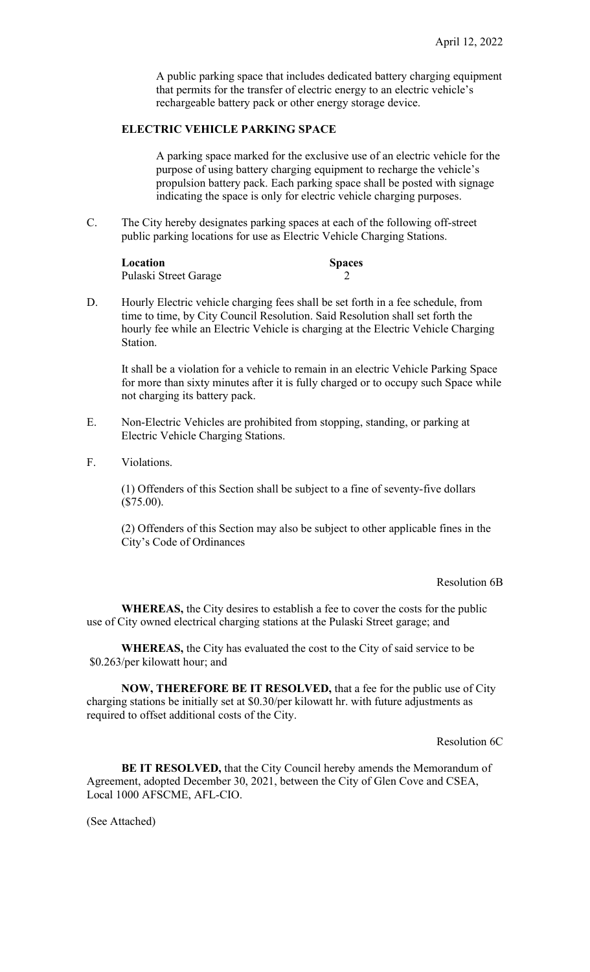A public parking space that includes dedicated battery charging equipment that permits for the transfer of electric energy to an electric vehicle's rechargeable battery pack or other energy storage device.

# **ELECTRIC VEHICLE PARKING SPACE**

A parking space marked for the exclusive use of an electric vehicle for the purpose of using battery charging equipment to recharge the vehicle's propulsion battery pack. Each parking space shall be posted with signage indicating the space is only for electric vehicle charging purposes.

C. The City hereby designates parking spaces at each of the following off-street public parking locations for use as Electric Vehicle Charging Stations.

| Location              | <b>Spaces</b> |
|-----------------------|---------------|
| Pulaski Street Garage |               |

D. Hourly Electric vehicle charging fees shall be set forth in a fee schedule, from time to time, by City Council Resolution. Said Resolution shall set forth the hourly fee while an Electric Vehicle is charging at the Electric Vehicle Charging Station.

It shall be a violation for a vehicle to remain in an electric Vehicle Parking Space for more than sixty minutes after it is fully charged or to occupy such Space while not charging its battery pack.

- E. Non-Electric Vehicles are prohibited from stopping, standing, or parking at Electric Vehicle Charging Stations.
- F. Violations.

(1) Offenders of this Section shall be subject to a fine of seventy-five dollars (\$75.00).

(2) Offenders of this Section may also be subject to other applicable fines in the City's Code of Ordinances

Resolution 6B

**WHEREAS,** the City desires to establish a fee to cover the costs for the public use of City owned electrical charging stations at the Pulaski Street garage; and

**WHEREAS,** the City has evaluated the cost to the City of said service to be \$0.263/per kilowatt hour; and

**NOW, THEREFORE BE IT RESOLVED,** that a fee for the public use of City charging stations be initially set at \$0.30/per kilowatt hr. with future adjustments as required to offset additional costs of the City.

Resolution 6C

**BE IT RESOLVED,** that the City Council hereby amends the Memorandum of Agreement, adopted December 30, 2021, between the City of Glen Cove and CSEA, Local 1000 AFSCME, AFL-CIO.

(See Attached)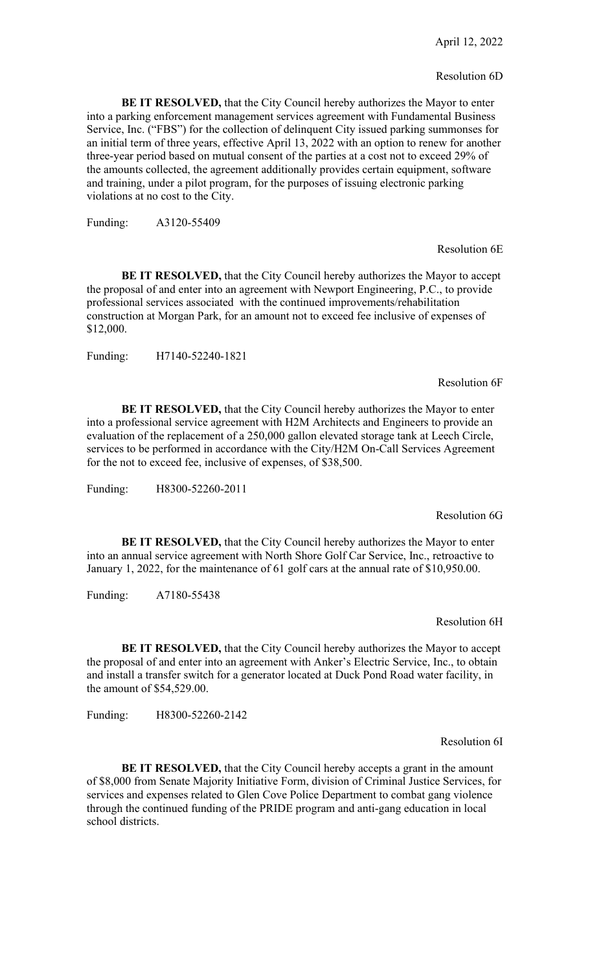#### Resolution 6D

**BE IT RESOLVED,** that the City Council hereby authorizes the Mayor to enter into a parking enforcement management services agreement with Fundamental Business Service, Inc. ("FBS") for the collection of delinquent City issued parking summonses for an initial term of three years, effective April 13, 2022 with an option to renew for another three-year period based on mutual consent of the parties at a cost not to exceed 29% of the amounts collected, the agreement additionally provides certain equipment, software and training, under a pilot program, for the purposes of issuing electronic parking violations at no cost to the City.

Funding: A3120-55409

Resolution 6E

**BE IT RESOLVED,** that the City Council hereby authorizes the Mayor to accept the proposal of and enter into an agreement with Newport Engineering, P.C., to provide professional services associated with the continued improvements/rehabilitation construction at Morgan Park, for an amount not to exceed fee inclusive of expenses of \$12,000.

Funding: H7140-52240-1821

Resolution 6F

**BE IT RESOLVED,** that the City Council hereby authorizes the Mayor to enter into a professional service agreement with H2M Architects and Engineers to provide an evaluation of the replacement of a 250,000 gallon elevated storage tank at Leech Circle, services to be performed in accordance with the City/H2M On-Call Services Agreement for the not to exceed fee, inclusive of expenses, of \$38,500.

Funding: H8300-52260-2011

#### Resolution 6G

**BE IT RESOLVED,** that the City Council hereby authorizes the Mayor to enter into an annual service agreement with North Shore Golf Car Service, Inc., retroactive to January 1, 2022, for the maintenance of 61 golf cars at the annual rate of \$10,950.00.

Funding: A7180-55438

Resolution 6H

**BE IT RESOLVED,** that the City Council hereby authorizes the Mayor to accept the proposal of and enter into an agreement with Anker's Electric Service, Inc., to obtain and install a transfer switch for a generator located at Duck Pond Road water facility, in the amount of \$54,529.00.

Funding: H8300-52260-2142

Resolution 6I

**BE IT RESOLVED,** that the City Council hereby accepts a grant in the amount of \$8,000 from Senate Majority Initiative Form, division of Criminal Justice Services, for services and expenses related to Glen Cove Police Department to combat gang violence through the continued funding of the PRIDE program and anti-gang education in local school districts.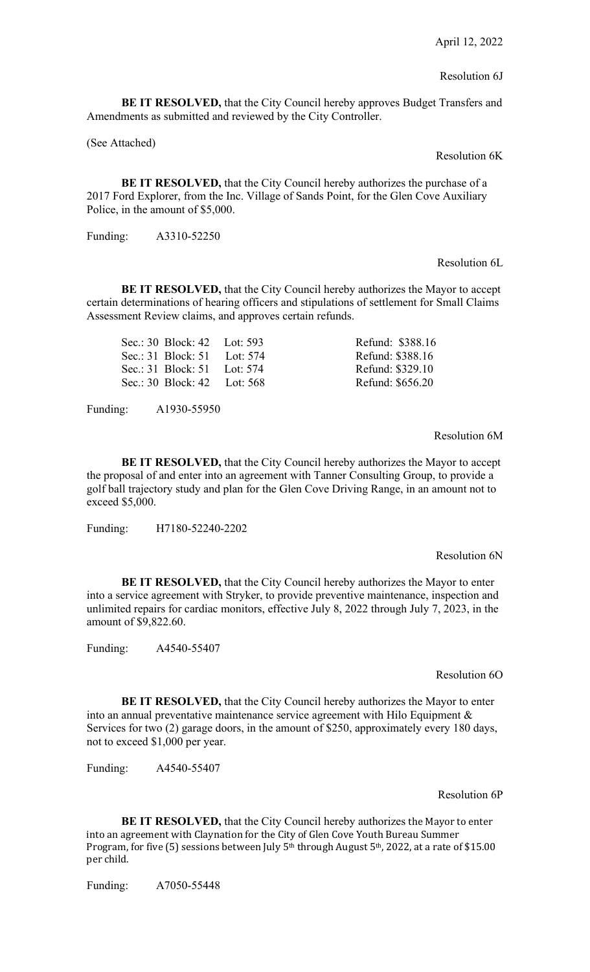### Resolution 6J

**BE IT RESOLVED,** that the City Council hereby approves Budget Transfers and Amendments as submitted and reviewed by the City Controller.

(See Attached)

Resolution 6K

**BE IT RESOLVED,** that the City Council hereby authorizes the purchase of a 2017 Ford Explorer, from the Inc. Village of Sands Point, for the Glen Cove Auxiliary Police, in the amount of \$5,000.

Funding: A3310-52250

#### Resolution 6L

**BE IT RESOLVED,** that the City Council hereby authorizes the Mayor to accept certain determinations of hearing officers and stipulations of settlement for Small Claims Assessment Review claims, and approves certain refunds.

| Sec.: 30 Block: 42 Lot: 593 | Refund: \$388.16 |
|-----------------------------|------------------|
| Sec.: 31 Block: 51 Lot: 574 | Refund: \$388.16 |
| Sec.: 31 Block: 51 Lot: 574 | Refund: \$329.10 |
| Sec.: 30 Block: 42 Lot: 568 | Refund: \$656.20 |
|                             |                  |

Funding: A1930-55950

Resolution 6M

**BE IT RESOLVED,** that the City Council hereby authorizes the Mayor to accept the proposal of and enter into an agreement with Tanner Consulting Group, to provide a golf ball trajectory study and plan for the Glen Cove Driving Range, in an amount not to exceed \$5,000.

Funding: H7180-52240-2202

Resolution 6N

**BE IT RESOLVED,** that the City Council hereby authorizes the Mayor to enter into a service agreement with Stryker, to provide preventive maintenance, inspection and unlimited repairs for cardiac monitors, effective July 8, 2022 through July 7, 2023, in the amount of \$9,822.60.

Funding: A4540-55407

Resolution 6O

**BE IT RESOLVED,** that the City Council hereby authorizes the Mayor to enter into an annual preventative maintenance service agreement with Hilo Equipment  $\&$ Services for two (2) garage doors, in the amount of \$250, approximately every 180 days, not to exceed \$1,000 per year.

Funding: A4540-55407

Resolution 6P

**BE IT RESOLVED,** that the City Council hereby authorizes the Mayor to enter into an agreement with Claynation for the City of Glen Cove Youth Bureau Summer Program, for five (5) sessions between July 5<sup>th</sup> through August 5<sup>th</sup>, 2022, at a rate of \$15.00 per child.

Funding: A7050-55448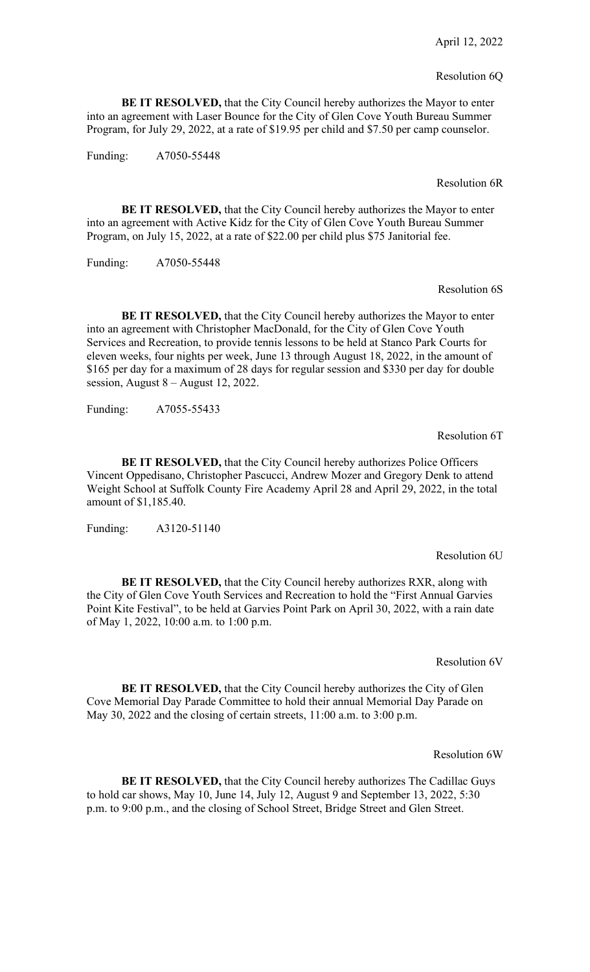#### Resolution 6Q

**BE IT RESOLVED,** that the City Council hereby authorizes the Mayor to enter into an agreement with Laser Bounce for the City of Glen Cove Youth Bureau Summer Program, for July 29, 2022, at a rate of \$19.95 per child and \$7.50 per camp counselor.

Funding: A7050-55448

Resolution 6R

**BE IT RESOLVED,** that the City Council hereby authorizes the Mayor to enter into an agreement with Active Kidz for the City of Glen Cove Youth Bureau Summer Program, on July 15, 2022, at a rate of \$22.00 per child plus \$75 Janitorial fee.

Funding: A7050-55448

Resolution 6S

**BE IT RESOLVED,** that the City Council hereby authorizes the Mayor to enter into an agreement with Christopher MacDonald, for the City of Glen Cove Youth Services and Recreation, to provide tennis lessons to be held at Stanco Park Courts for eleven weeks, four nights per week, June 13 through August 18, 2022, in the amount of \$165 per day for a maximum of 28 days for regular session and \$330 per day for double session, August 8 – August 12, 2022.

Funding: A7055-55433

Resolution 6T

**BE IT RESOLVED,** that the City Council hereby authorizes Police Officers Vincent Oppedisano, Christopher Pascucci, Andrew Mozer and Gregory Denk to attend Weight School at Suffolk County Fire Academy April 28 and April 29, 2022, in the total amount of \$1,185.40.

Funding: A3120-51140

Resolution 6U

**BE IT RESOLVED,** that the City Council hereby authorizes RXR, along with the City of Glen Cove Youth Services and Recreation to hold the "First Annual Garvies Point Kite Festival", to be held at Garvies Point Park on April 30, 2022, with a rain date of May 1, 2022, 10:00 a.m. to 1:00 p.m.

Resolution 6V

**BE IT RESOLVED,** that the City Council hereby authorizes the City of Glen Cove Memorial Day Parade Committee to hold their annual Memorial Day Parade on May 30, 2022 and the closing of certain streets, 11:00 a.m. to 3:00 p.m.

Resolution 6W

**BE IT RESOLVED,** that the City Council hereby authorizes The Cadillac Guys to hold car shows, May 10, June 14, July 12, August 9 and September 13, 2022, 5:30 p.m. to 9:00 p.m., and the closing of School Street, Bridge Street and Glen Street.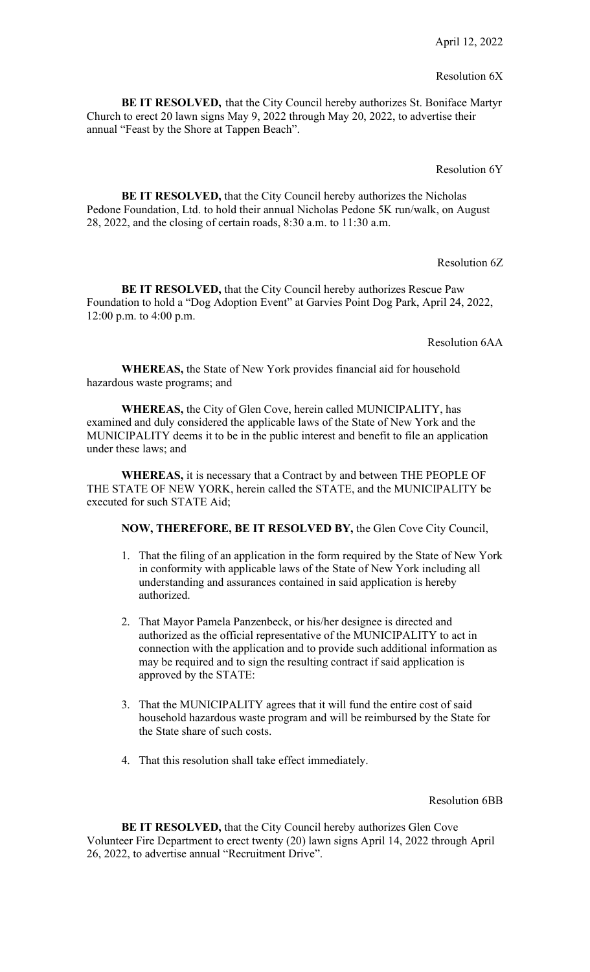# Resolution 6X

**BE IT RESOLVED,** that the City Council hereby authorizes St. Boniface Martyr Church to erect 20 lawn signs May 9, 2022 through May 20, 2022, to advertise their annual "Feast by the Shore at Tappen Beach".

### Resolution 6Y

**BE IT RESOLVED,** that the City Council hereby authorizes the Nicholas Pedone Foundation, Ltd. to hold their annual Nicholas Pedone 5K run/walk, on August 28, 2022, and the closing of certain roads, 8:30 a.m. to 11:30 a.m.

Resolution 6Z

**BE IT RESOLVED, that the City Council hereby authorizes Rescue Paw** Foundation to hold a "Dog Adoption Event" at Garvies Point Dog Park, April 24, 2022, 12:00 p.m. to 4:00 p.m.

Resolution 6AA

**WHEREAS,** the State of New York provides financial aid for household hazardous waste programs; and

**WHEREAS,** the City of Glen Cove, herein called MUNICIPALITY, has examined and duly considered the applicable laws of the State of New York and the MUNICIPALITY deems it to be in the public interest and benefit to file an application under these laws; and

**WHEREAS,** it is necessary that a Contract by and between THE PEOPLE OF THE STATE OF NEW YORK, herein called the STATE, and the MUNICIPALITY be executed for such STATE Aid;

**NOW, THEREFORE, BE IT RESOLVED BY,** the Glen Cove City Council,

- 1. That the filing of an application in the form required by the State of New York in conformity with applicable laws of the State of New York including all understanding and assurances contained in said application is hereby authorized.
- 2. That Mayor Pamela Panzenbeck, or his/her designee is directed and authorized as the official representative of the MUNICIPALITY to act in connection with the application and to provide such additional information as may be required and to sign the resulting contract if said application is approved by the STATE:
- 3. That the MUNICIPALITY agrees that it will fund the entire cost of said household hazardous waste program and will be reimbursed by the State for the State share of such costs.
- 4. That this resolution shall take effect immediately.

Resolution 6BB

**BE IT RESOLVED,** that the City Council hereby authorizes Glen Cove Volunteer Fire Department to erect twenty (20) lawn signs April 14, 2022 through April 26, 2022, to advertise annual "Recruitment Drive".